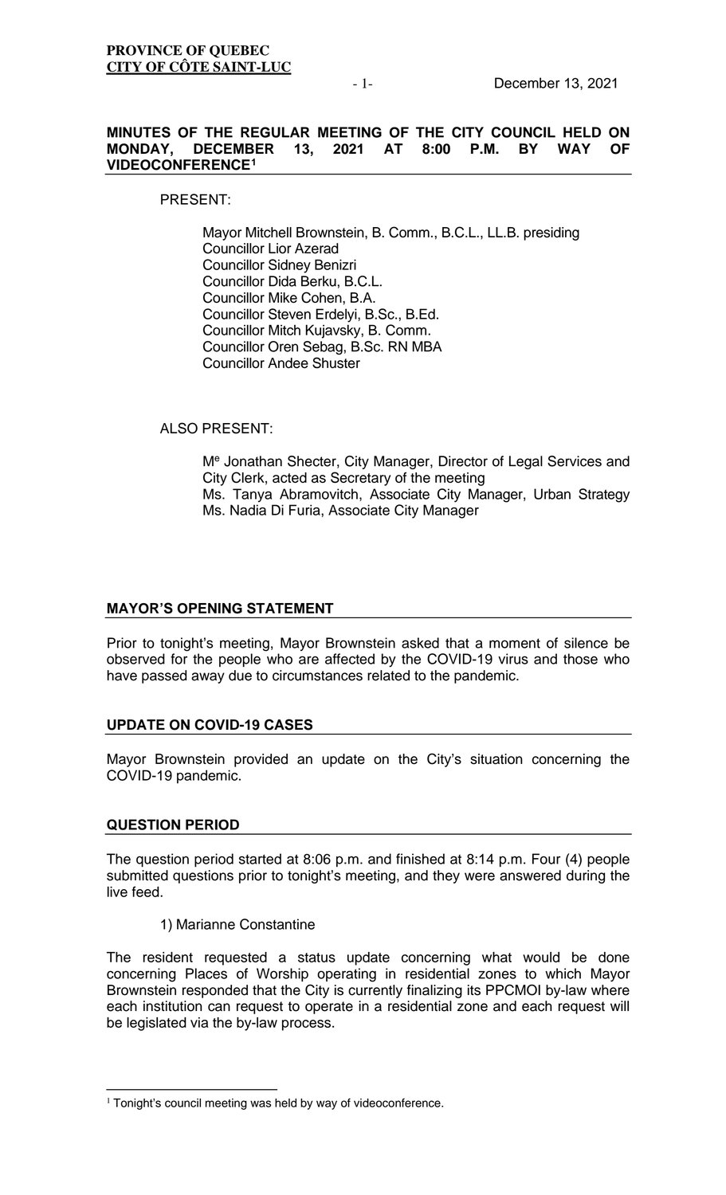### **MINUTES OF THE REGULAR MEETING OF THE CITY COUNCIL HELD ON MONDAY, DECEMBER 13, 2021 AT VIDEOCONFERENCE[1](#page-0-0)**

PRESENT:

Mayor Mitchell Brownstein, B. Comm., B.C.L., LL.B. presiding Councillor Lior Azerad Councillor Sidney Benizri Councillor Dida Berku, B.C.L. Councillor Mike Cohen, B.A. Councillor Steven Erdelyi, B.Sc., B.Ed. Councillor Mitch Kujavsky, B. Comm. Councillor Oren Sebag, B.Sc. RN MBA Councillor Andee Shuster

# ALSO PRESENT:

Me Jonathan Shecter, City Manager, Director of Legal Services and City Clerk, acted as Secretary of the meeting Ms. Tanya Abramovitch, Associate City Manager, Urban Strategy Ms. Nadia Di Furia, Associate City Manager

# **MAYOR'S OPENING STATEMENT**

Prior to tonight's meeting, Mayor Brownstein asked that a moment of silence be observed for the people who are affected by the COVID-19 virus and those who have passed away due to circumstances related to the pandemic.

# **UPDATE ON COVID-19 CASES**

Mayor Brownstein provided an update on the City's situation concerning the COVID-19 pandemic.

# **QUESTION PERIOD**

The question period started at 8:06 p.m. and finished at 8:14 p.m. Four (4) people submitted questions prior to tonight's meeting, and they were answered during the live feed.

1) Marianne Constantine

The resident requested a status update concerning what would be done concerning Places of Worship operating in residential zones to which Mayor Brownstein responded that the City is currently finalizing its PPCMOI by-law where each institution can request to operate in a residential zone and each request will be legislated via the by-law process.

<span id="page-0-0"></span><sup>&</sup>lt;sup>1</sup> Tonight's council meeting was held by way of videoconference.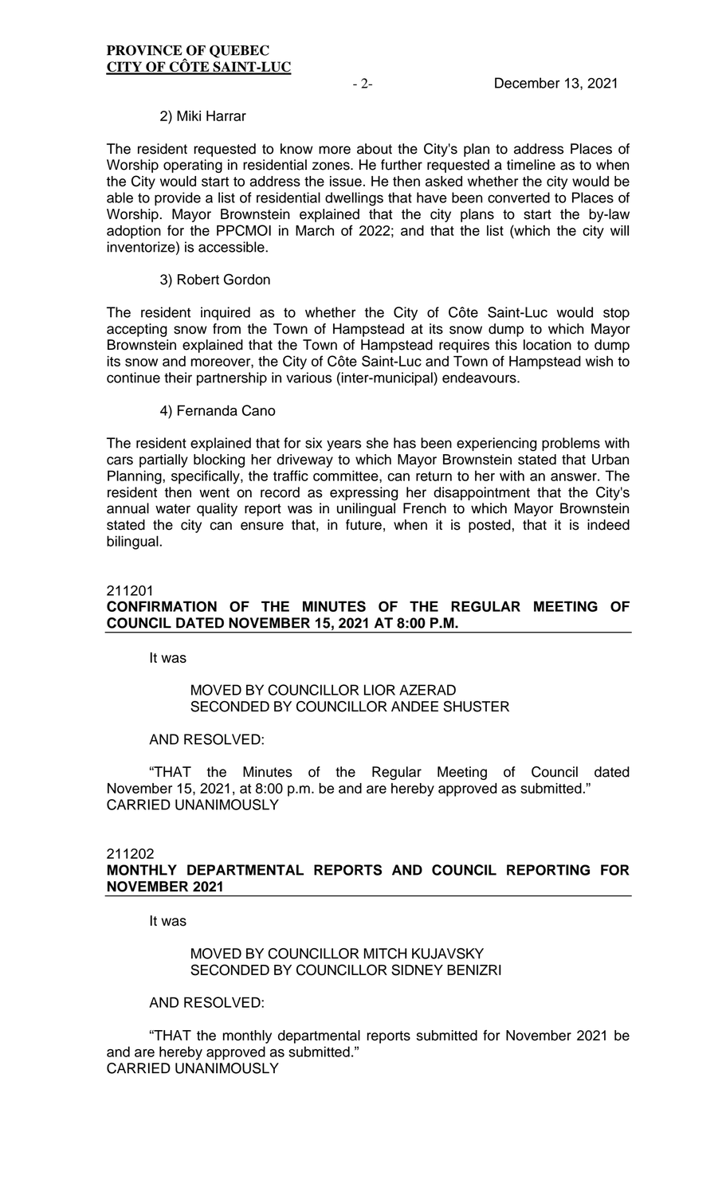### 2) Miki Harrar

The resident requested to know more about the City's plan to address Places of Worship operating in residential zones. He further requested a timeline as to when the City would start to address the issue. He then asked whether the city would be able to provide a list of residential dwellings that have been converted to Places of Worship. Mayor Brownstein explained that the city plans to start the by-law adoption for the PPCMOI in March of 2022; and that the list (which the city will inventorize) is accessible.

### 3) Robert Gordon

The resident inquired as to whether the City of Côte Saint-Luc would stop accepting snow from the Town of Hampstead at its snow dump to which Mayor Brownstein explained that the Town of Hampstead requires this location to dump its snow and moreover, the City of Côte Saint-Luc and Town of Hampstead wish to continue their partnership in various (inter-municipal) endeavours.

#### 4) Fernanda Cano

The resident explained that for six years she has been experiencing problems with cars partially blocking her driveway to which Mayor Brownstein stated that Urban Planning, specifically, the traffic committee, can return to her with an answer. The resident then went on record as expressing her disappointment that the City's annual water quality report was in unilingual French to which Mayor Brownstein stated the city can ensure that, in future, when it is posted, that it is indeed bilingual.

# 211201 **CONFIRMATION OF THE MINUTES OF THE REGULAR MEETING OF COUNCIL DATED NOVEMBER 15, 2021 AT 8:00 P.M.**

It was

# MOVED BY COUNCILLOR LIOR AZERAD SECONDED BY COUNCILLOR ANDEE SHUSTER

### AND RESOLVED:

"THAT the Minutes of the Regular Meeting of Council dated November 15, 2021, at 8:00 p.m. be and are hereby approved as submitted." CARRIED UNANIMOUSLY

### 211202 **MONTHLY DEPARTMENTAL REPORTS AND COUNCIL REPORTING FOR NOVEMBER 2021**

It was

# MOVED BY COUNCILLOR MITCH KUJAVSKY SECONDED BY COUNCILLOR SIDNEY BENIZRI

AND RESOLVED:

"THAT the monthly departmental reports submitted for November 2021 be and are hereby approved as submitted." CARRIED UNANIMOUSLY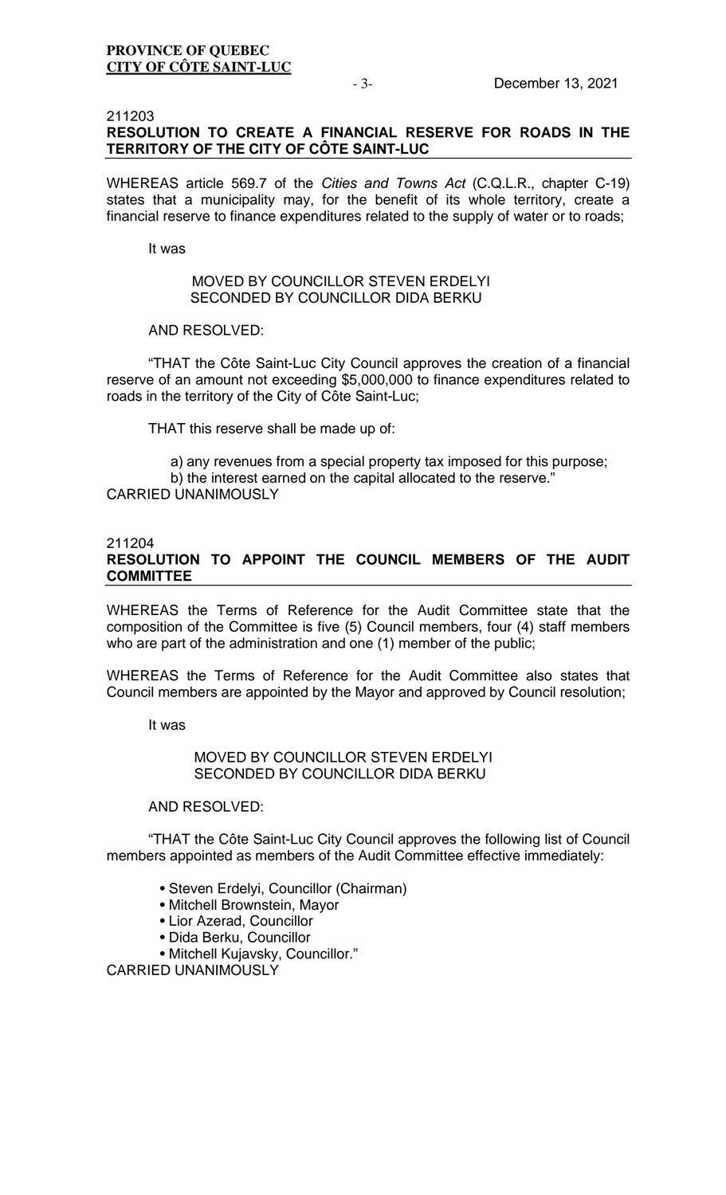### 211203 **RESOLUTION TO CREATE A FINANCIAL RESERVE FOR ROADS IN THE TERRITORY OF THE CITY OF CÔTE SAINT-LUC**

WHEREAS article 569.7 of the *Cities and Towns Act* (C.Q.L.R., chapter C-19) states that a municipality may, for the benefit of its whole territory, create a financial reserve to finance expenditures related to the supply of water or to roads;

It was

# MOVED BY COUNCILLOR STEVEN ERDELYI SECONDED BY COUNCILLOR DIDA BERKU

# AND RESOLVED:

"THAT the Côte Saint-Luc City Council approves the creation of a financial reserve of an amount not exceeding \$5,000,000 to finance expenditures related to roads in the territory of the City of Côte Saint-Luc;

THAT this reserve shall be made up of:

a) any revenues from a special property tax imposed for this purpose; b) the interest earned on the capital allocated to the reserve." CARRIED UNANIMOUSLY

### 211204

# **RESOLUTION TO APPOINT THE COUNCIL MEMBERS OF THE AUDIT COMMITTEE**

WHEREAS the Terms of Reference for the Audit Committee state that the composition of the Committee is five (5) Council members, four (4) staff members who are part of the administration and one (1) member of the public;

WHEREAS the Terms of Reference for the Audit Committee also states that Council members are appointed by the Mayor and approved by Council resolution;

It was

MOVED BY COUNCILLOR STEVEN ERDELYI SECONDED BY COUNCILLOR DIDA BERKU

# AND RESOLVED:

"THAT the Côte Saint-Luc City Council approves the following list of Council members appointed as members of the Audit Committee effective immediately:

- Steven Erdelyi, Councillor (Chairman)
- Mitchell Brownstein, Mayor
- Lior Azerad, Councillor
- Dida Berku, Councillor
- Mitchell Kujavsky, Councillor."

CARRIED UNANIMOUSLY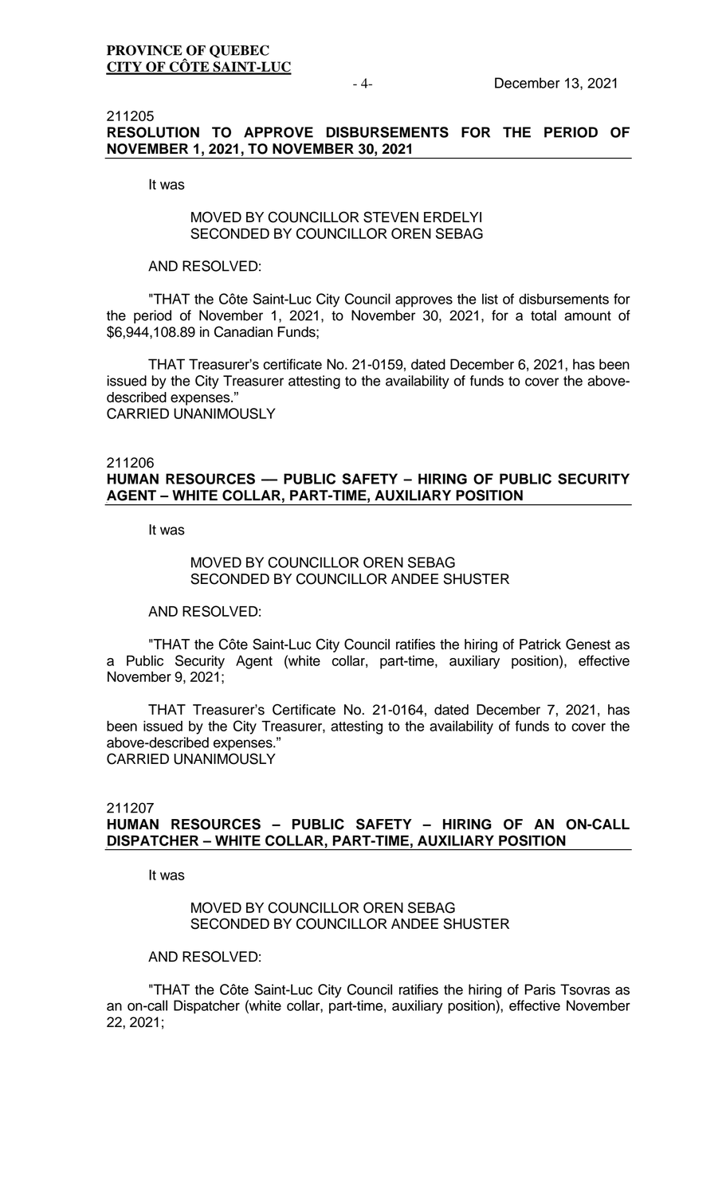### 211205 **RESOLUTION TO APPROVE DISBURSEMENTS FOR THE PERIOD OF NOVEMBER 1, 2021, TO NOVEMBER 30, 2021**

It was

# MOVED BY COUNCILLOR STEVEN ERDELYI SECONDED BY COUNCILLOR OREN SEBAG

### AND RESOLVED:

"THAT the Côte Saint-Luc City Council approves the list of disbursements for the period of November 1, 2021, to November 30, 2021, for a total amount of \$6,944,108.89 in Canadian Funds;

THAT Treasurer's certificate No. 21-0159, dated December 6, 2021, has been issued by the City Treasurer attesting to the availability of funds to cover the abovedescribed expenses." CARRIED UNANIMOUSLY

# 211206 **HUMAN RESOURCES –– PUBLIC SAFETY – HIRING OF PUBLIC SECURITY AGENT – WHITE COLLAR, PART-TIME, AUXILIARY POSITION**

It was

# MOVED BY COUNCILLOR OREN SEBAG SECONDED BY COUNCILLOR ANDEE SHUSTER

AND RESOLVED:

"THAT the Côte Saint-Luc City Council ratifies the hiring of Patrick Genest as a Public Security Agent (white collar, part-time, auxiliary position), effective November 9, 2021;

THAT Treasurer's Certificate No. 21-0164, dated December 7, 2021, has been issued by the City Treasurer, attesting to the availability of funds to cover the above-described expenses." CARRIED UNANIMOUSLY

# 211207 **HUMAN RESOURCES – PUBLIC SAFETY – HIRING OF AN ON-CALL DISPATCHER – WHITE COLLAR, PART-TIME, AUXILIARY POSITION**

It was

# MOVED BY COUNCILLOR OREN SEBAG SECONDED BY COUNCILLOR ANDEE SHUSTER

AND RESOLVED:

"THAT the Côte Saint-Luc City Council ratifies the hiring of Paris Tsovras as an on-call Dispatcher (white collar, part-time, auxiliary position), effective November 22, 2021;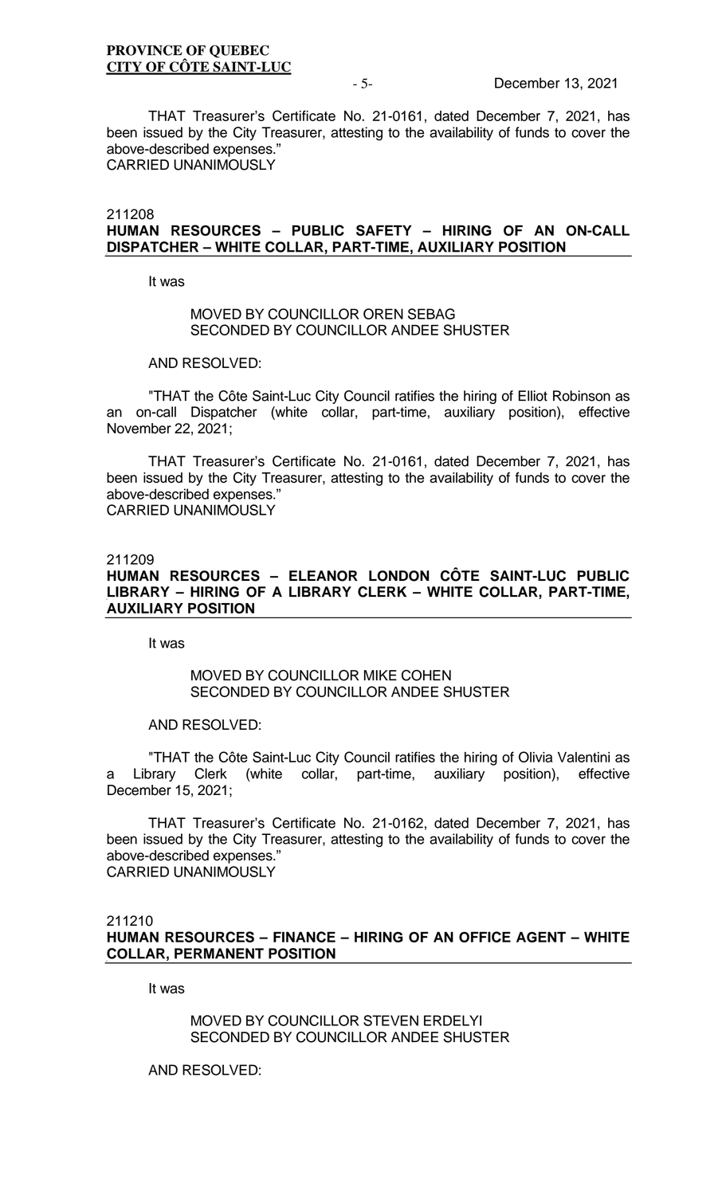THAT Treasurer's Certificate No. 21-0161, dated December 7, 2021, has been issued by the City Treasurer, attesting to the availability of funds to cover the above-described expenses." CARRIED UNANIMOUSLY

211208

# **HUMAN RESOURCES – PUBLIC SAFETY – HIRING OF AN ON-CALL DISPATCHER – WHITE COLLAR, PART-TIME, AUXILIARY POSITION**

It was

### MOVED BY COUNCILLOR OREN SEBAG SECONDED BY COUNCILLOR ANDEE SHUSTER

AND RESOLVED:

"THAT the Côte Saint-Luc City Council ratifies the hiring of Elliot Robinson as an on-call Dispatcher (white collar, part-time, auxiliary position), effective November 22, 2021;

THAT Treasurer's Certificate No. 21-0161, dated December 7, 2021, has been issued by the City Treasurer, attesting to the availability of funds to cover the above-described expenses."

CARRIED UNANIMOUSLY

# 211209 **HUMAN RESOURCES – ELEANOR LONDON CÔTE SAINT-LUC PUBLIC LIBRARY – HIRING OF A LIBRARY CLERK – WHITE COLLAR, PART-TIME, AUXILIARY POSITION**

It was

### MOVED BY COUNCILLOR MIKE COHEN SECONDED BY COUNCILLOR ANDEE SHUSTER

### AND RESOLVED:

"THAT the Côte Saint-Luc City Council ratifies the hiring of Olivia Valentini as a Library Clerk (white collar, part-time, auxiliary position), effective December 15, 2021;

THAT Treasurer's Certificate No. 21-0162, dated December 7, 2021, has been issued by the City Treasurer, attesting to the availability of funds to cover the above-described expenses." CARRIED UNANIMOUSLY

211210

**HUMAN RESOURCES – FINANCE – HIRING OF AN OFFICE AGENT – WHITE COLLAR, PERMANENT POSITION**

It was

MOVED BY COUNCILLOR STEVEN ERDELYI SECONDED BY COUNCILLOR ANDEE SHUSTER

AND RESOLVED: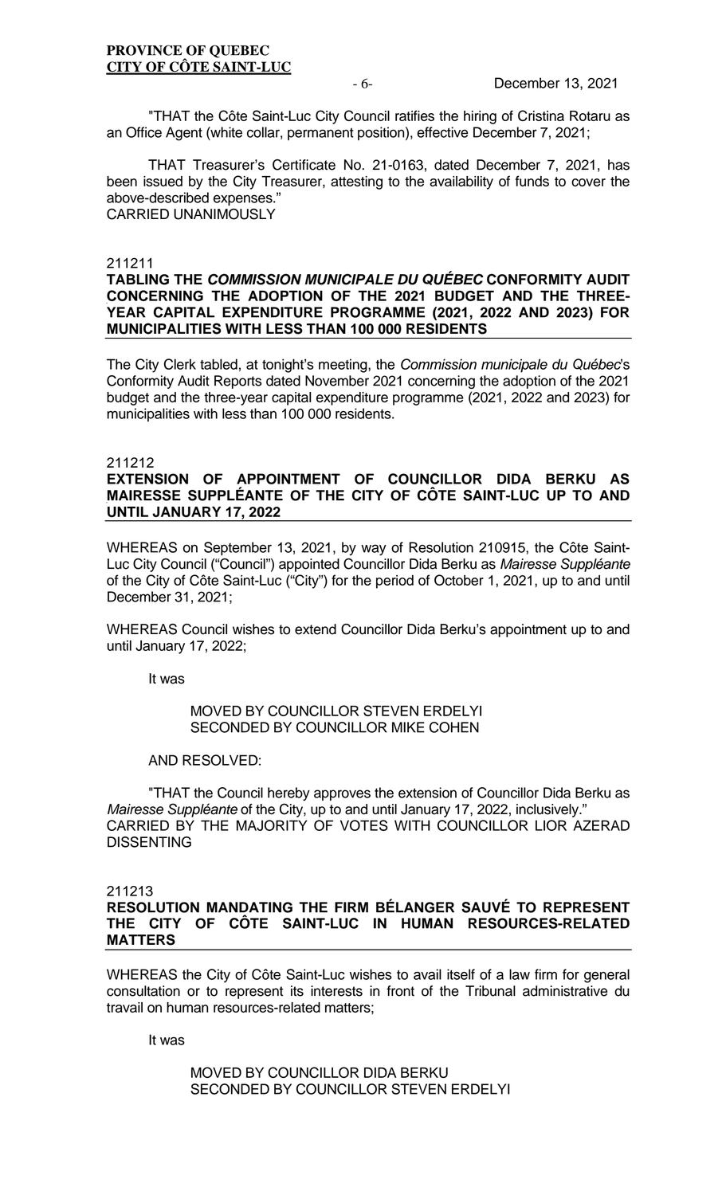"THAT the Côte Saint-Luc City Council ratifies the hiring of Cristina Rotaru as an Office Agent (white collar, permanent position), effective December 7, 2021;

THAT Treasurer's Certificate No. 21-0163, dated December 7, 2021, has been issued by the City Treasurer, attesting to the availability of funds to cover the above-described expenses." CARRIED UNANIMOUSLY

#### 211211

### **TABLING THE** *COMMISSION MUNICIPALE DU QUÉBEC* **CONFORMITY AUDIT CONCERNING THE ADOPTION OF THE 2021 BUDGET AND THE THREE-YEAR CAPITAL EXPENDITURE PROGRAMME (2021, 2022 AND 2023) FOR MUNICIPALITIES WITH LESS THAN 100 000 RESIDENTS**

The City Clerk tabled, at tonight's meeting, the *Commission municipale du Québec*'s Conformity Audit Reports dated November 2021 concerning the adoption of the 2021 budget and the three-year capital expenditure programme (2021, 2022 and 2023) for municipalities with less than 100 000 residents.

#### 211212

# **EXTENSION OF APPOINTMENT OF COUNCILLOR DIDA BERKU AS MAIRESSE SUPPLÉANTE OF THE CITY OF CÔTE SAINT-LUC UP TO AND UNTIL JANUARY 17, 2022**

WHEREAS on September 13, 2021, by way of Resolution 210915, the Côte Saint-Luc City Council ("Council") appointed Councillor Dida Berku as *Mairesse Suppléante* of the City of Côte Saint-Luc ("City") for the period of October 1, 2021, up to and until December 31, 2021;

WHEREAS Council wishes to extend Councillor Dida Berku's appointment up to and until January 17, 2022;

It was

## MOVED BY COUNCILLOR STEVEN ERDELYI SECONDED BY COUNCILLOR MIKE COHEN

### AND RESOLVED:

"THAT the Council hereby approves the extension of Councillor Dida Berku as *Mairesse Suppléante* of the City, up to and until January 17, 2022, inclusively." CARRIED BY THE MAJORITY OF VOTES WITH COUNCILLOR LIOR AZERAD DISSENTING

#### 211213

**RESOLUTION MANDATING THE FIRM BÉLANGER SAUVÉ TO REPRESENT THE CITY OF CÔTE SAINT-LUC IN HUMAN RESOURCES-RELATED MATTERS**

WHEREAS the City of Côte Saint-Luc wishes to avail itself of a law firm for general consultation or to represent its interests in front of the Tribunal administrative du travail on human resources-related matters;

It was

### MOVED BY COUNCILLOR DIDA BERKU SECONDED BY COUNCILLOR STEVEN ERDELYI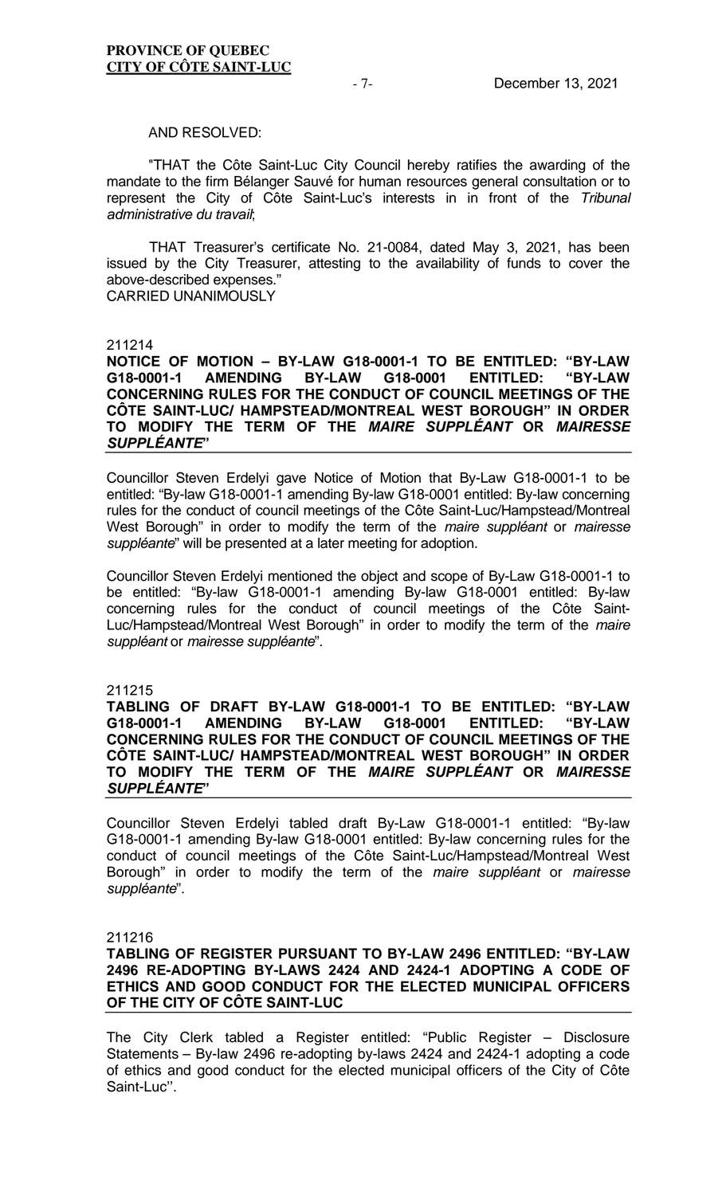#### AND RESOLVED:

"THAT the Côte Saint-Luc City Council hereby ratifies the awarding of the mandate to the firm Bélanger Sauvé for human resources general consultation or to represent the City of Côte Saint-Luc's interests in in front of the *Tribunal administrative du travail*;

THAT Treasurer's certificate No. 21-0084, dated May 3, 2021, has been issued by the City Treasurer, attesting to the availability of funds to cover the above-described expenses." CARRIED UNANIMOUSLY

#### 211214

**NOTICE OF MOTION – BY-LAW G18-0001-1 TO BE ENTITLED: "BY-LAW G18-0001-1 AMENDING BY-LAW G18-0001 ENTITLED: "BY-LAW CONCERNING RULES FOR THE CONDUCT OF COUNCIL MEETINGS OF THE CÔTE SAINT-LUC/ HAMPSTEAD/MONTREAL WEST BOROUGH" IN ORDER TO MODIFY THE TERM OF THE** *MAIRE SUPPLÉANT* **OR** *MAIRESSE SUPPLÉANTE***"** 

Councillor Steven Erdelyi gave Notice of Motion that By-Law G18-0001-1 to be entitled: "By-law G18-0001-1 amending By-law G18-0001 entitled: By-law concerning rules for the conduct of council meetings of the Côte Saint-Luc/Hampstead/Montreal West Borough" in order to modify the term of the *maire suppléant* or *mairesse suppléante*" will be presented at a later meeting for adoption.

Councillor Steven Erdelyi mentioned the object and scope of By-Law G18-0001-1 to be entitled: "By-law G18-0001-1 amending By-law G18-0001 entitled: By-law concerning rules for the conduct of council meetings of the Côte Saint-Luc/Hampstead/Montreal West Borough" in order to modify the term of the *maire suppléant* or *mairesse suppléante*".

#### 211215

**TABLING OF DRAFT BY-LAW G18-0001-1 TO BE ENTITLED: "BY-LAW**  AMENDING BY-LAW G18-0001 ENTITLED: **CONCERNING RULES FOR THE CONDUCT OF COUNCIL MEETINGS OF THE CÔTE SAINT-LUC/ HAMPSTEAD/MONTREAL WEST BOROUGH" IN ORDER TO MODIFY THE TERM OF THE** *MAIRE SUPPLÉANT* **OR** *MAIRESSE SUPPLÉANTE***"**

Councillor Steven Erdelyi tabled draft By-Law G18-0001-1 entitled: "By-law G18-0001-1 amending By-law G18-0001 entitled: By-law concerning rules for the conduct of council meetings of the Côte Saint-Luc/Hampstead/Montreal West Borough" in order to modify the term of the *maire suppléant* or *mairesse suppléante*".

211216

# **TABLING OF REGISTER PURSUANT TO BY-LAW 2496 ENTITLED: "BY-LAW 2496 RE-ADOPTING BY-LAWS 2424 AND 2424-1 ADOPTING A CODE OF ETHICS AND GOOD CONDUCT FOR THE ELECTED MUNICIPAL OFFICERS OF THE CITY OF CÔTE SAINT-LUC**

The City Clerk tabled a Register entitled: "Public Register – Disclosure Statements – By-law 2496 re-adopting by-laws 2424 and 2424-1 adopting a code of ethics and good conduct for the elected municipal officers of the City of Côte Saint-Luc''.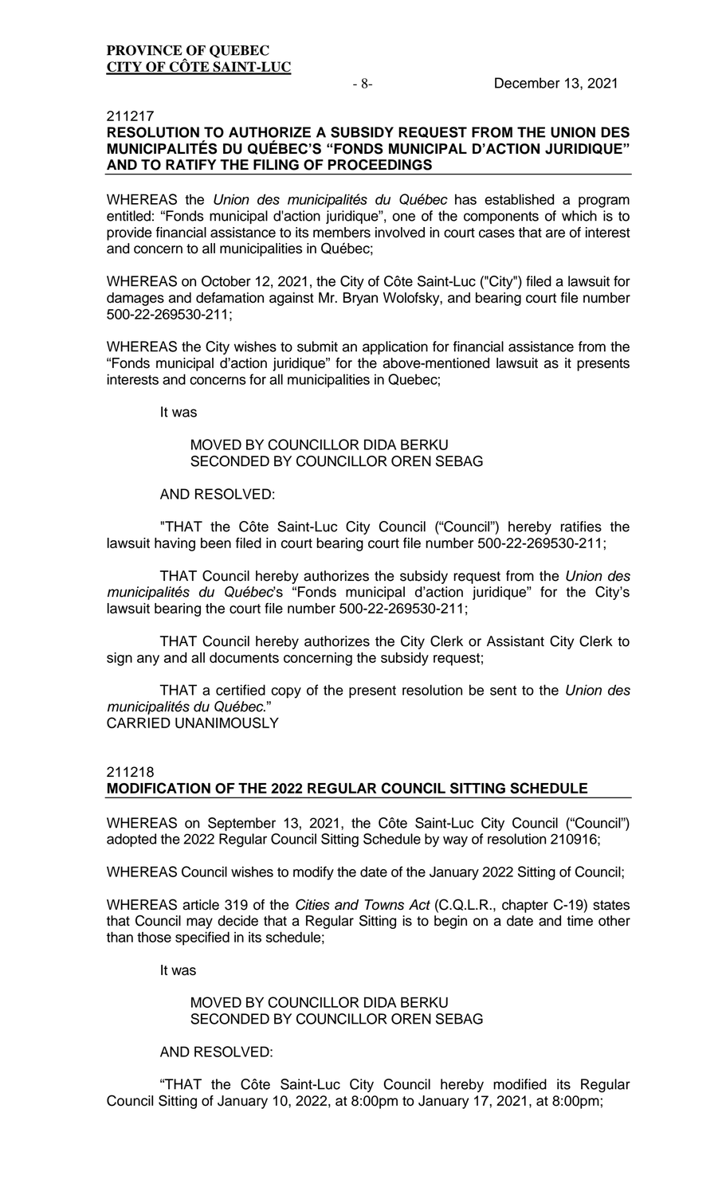# 211217 **RESOLUTION TO AUTHORIZE A SUBSIDY REQUEST FROM THE UNION DES MUNICIPALITÉS DU QUÉBEC'S "FONDS MUNICIPAL D'ACTION JURIDIQUE" AND TO RATIFY THE FILING OF PROCEEDINGS**

WHEREAS the *Union des municipalités du Québec* has established a program entitled: "Fonds municipal d'action juridique", one of the components of which is to provide financial assistance to its members involved in court cases that are of interest and concern to all municipalities in Québec;

WHEREAS on October 12, 2021, the City of Côte Saint-Luc ("City") filed a lawsuit for damages and defamation against Mr. Bryan Wolofsky, and bearing court file number 500-22-269530-211;

WHEREAS the City wishes to submit an application for financial assistance from the "Fonds municipal d'action juridique" for the above-mentioned lawsuit as it presents interests and concerns for all municipalities in Quebec;

It was

# MOVED BY COUNCILLOR DIDA BERKU SECONDED BY COUNCILLOR OREN SEBAG

### AND RESOLVED:

"THAT the Côte Saint-Luc City Council ("Council") hereby ratifies the lawsuit having been filed in court bearing court file number 500-22-269530-211;

THAT Council hereby authorizes the subsidy request from the *Union des municipalités du Québec*'s "Fonds municipal d'action juridique" for the City's lawsuit bearing the court file number 500-22-269530-211;

THAT Council hereby authorizes the City Clerk or Assistant City Clerk to sign any and all documents concerning the subsidy request;

THAT a certified copy of the present resolution be sent to the *Union des municipalités du Québec*." CARRIED UNANIMOUSLY

# 211218

# **MODIFICATION OF THE 2022 REGULAR COUNCIL SITTING SCHEDULE**

WHEREAS on September 13, 2021, the Côte Saint-Luc City Council ("Council") adopted the 2022 Regular Council Sitting Schedule by way of resolution 210916;

WHEREAS Council wishes to modify the date of the January 2022 Sitting of Council;

WHEREAS article 319 of the *Cities and Towns Act* (C.Q.L.R., chapter C-19) states that Council may decide that a Regular Sitting is to begin on a date and time other than those specified in its schedule;

It was

# MOVED BY COUNCILLOR DIDA BERKU SECONDED BY COUNCILLOR OREN SEBAG

# AND RESOLVED:

"THAT the Côte Saint-Luc City Council hereby modified its Regular Council Sitting of January 10, 2022, at 8:00pm to January 17, 2021, at 8:00pm;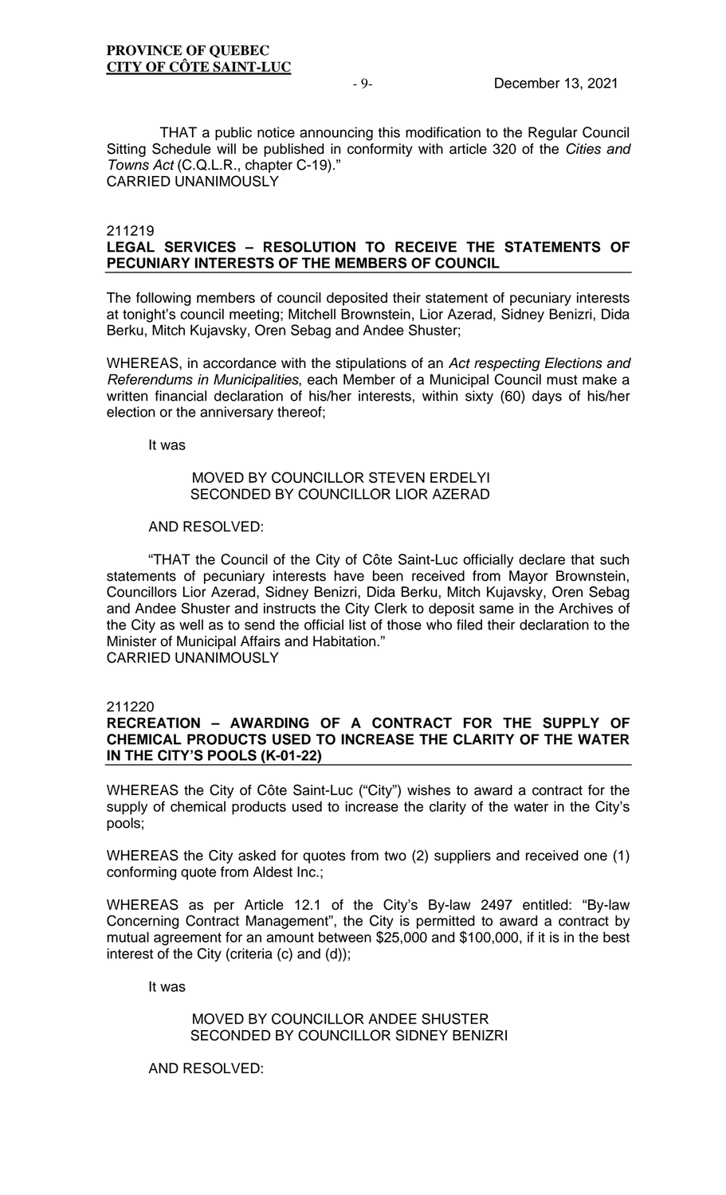THAT a public notice announcing this modification to the Regular Council Sitting Schedule will be published in conformity with article 320 of the *Cities and Towns Act* (C.Q.L.R., chapter C-19)." CARRIED UNANIMOUSLY

### 211219

# **LEGAL SERVICES – RESOLUTION TO RECEIVE THE STATEMENTS OF PECUNIARY INTERESTS OF THE MEMBERS OF COUNCIL**

The following members of council deposited their statement of pecuniary interests at tonight's council meeting; Mitchell Brownstein, Lior Azerad, Sidney Benizri, Dida Berku, Mitch Kujavsky, Oren Sebag and Andee Shuster;

WHEREAS, in accordance with the stipulations of an *Act respecting Elections and Referendums in Municipalities*, each Member of a Municipal Council must make a written financial declaration of his/her interests, within sixty (60) days of his/her election or the anniversary thereof;

It was

## MOVED BY COUNCILLOR STEVEN ERDELYI SECONDED BY COUNCILLOR LIOR AZERAD

### AND RESOLVED:

"THAT the Council of the City of Côte Saint-Luc officially declare that such statements of pecuniary interests have been received from Mayor Brownstein, Councillors Lior Azerad, Sidney Benizri, Dida Berku, Mitch Kujavsky, Oren Sebag and Andee Shuster and instructs the City Clerk to deposit same in the Archives of the City as well as to send the official list of those who filed their declaration to the Minister of Municipal Affairs and Habitation." CARRIED UNANIMOUSLY

### 211220

# **RECREATION – AWARDING OF A CONTRACT FOR THE SUPPLY OF CHEMICAL PRODUCTS USED TO INCREASE THE CLARITY OF THE WATER IN THE CITY'S POOLS (K-01-22)**

WHEREAS the City of Côte Saint-Luc ("City") wishes to award a contract for the supply of chemical products used to increase the clarity of the water in the City's pools;

WHEREAS the City asked for quotes from two (2) suppliers and received one (1) conforming quote from Aldest Inc.;

WHEREAS as per Article 12.1 of the City's By-law 2497 entitled: "By-law Concerning Contract Management", the City is permitted to award a contract by mutual agreement for an amount between \$25,000 and \$100,000, if it is in the best interest of the City (criteria (c) and (d));

It was

MOVED BY COUNCILLOR ANDEE SHUSTER SECONDED BY COUNCILLOR SIDNEY BENIZRI

AND RESOLVED: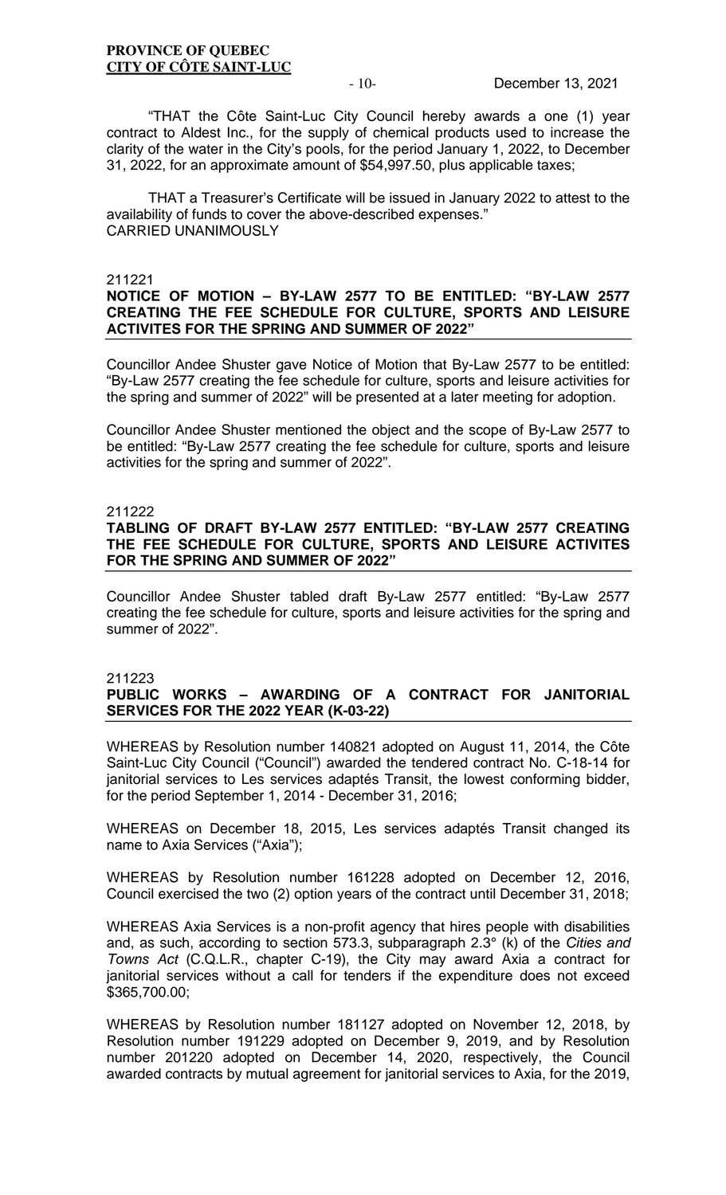"THAT the Côte Saint-Luc City Council hereby awards a one (1) year contract to Aldest Inc., for the supply of chemical products used to increase the clarity of the water in the City's pools, for the period January 1, 2022, to December 31, 2022, for an approximate amount of \$54,997.50, plus applicable taxes;

THAT a Treasurer's Certificate will be issued in January 2022 to attest to the availability of funds to cover the above-described expenses." CARRIED UNANIMOUSLY

### 211221

# **NOTICE OF MOTION – BY-LAW 2577 TO BE ENTITLED: "BY-LAW 2577 CREATING THE FEE SCHEDULE FOR CULTURE, SPORTS AND LEISURE ACTIVITES FOR THE SPRING AND SUMMER OF 2022"**

Councillor Andee Shuster gave Notice of Motion that By-Law 2577 to be entitled: "By-Law 2577 creating the fee schedule for culture, sports and leisure activities for the spring and summer of 2022" will be presented at a later meeting for adoption.

Councillor Andee Shuster mentioned the object and the scope of By-Law 2577 to be entitled: "By-Law 2577 creating the fee schedule for culture, sports and leisure activities for the spring and summer of 2022".

### 211222

### **TABLING OF DRAFT BY-LAW 2577 ENTITLED: "BY-LAW 2577 CREATING THE FEE SCHEDULE FOR CULTURE, SPORTS AND LEISURE ACTIVITES FOR THE SPRING AND SUMMER OF 2022"**

Councillor Andee Shuster tabled draft By-Law 2577 entitled: "By-Law 2577 creating the fee schedule for culture, sports and leisure activities for the spring and summer of 2022".

### 211223

# **PUBLIC WORKS – AWARDING OF A CONTRACT FOR JANITORIAL SERVICES FOR THE 2022 YEAR (K-03-22)**

WHEREAS by Resolution number 140821 adopted on August 11, 2014, the Côte Saint-Luc City Council ("Council") awarded the tendered contract No. C-18-14 for janitorial services to Les services adaptés Transit, the lowest conforming bidder, for the period September 1, 2014 - December 31, 2016;

WHEREAS on December 18, 2015, Les services adaptés Transit changed its name to Axia Services ("Axia");

WHEREAS by Resolution number 161228 adopted on December 12, 2016, Council exercised the two (2) option years of the contract until December 31, 2018;

WHEREAS Axia Services is a non-profit agency that hires people with disabilities and, as such, according to section 573.3, subparagraph 2.3° (k) of the *Cities and Towns Act* (C.Q.L.R., chapter C-19), the City may award Axia a contract for janitorial services without a call for tenders if the expenditure does not exceed \$365,700.00;

WHEREAS by Resolution number 181127 adopted on November 12, 2018, by Resolution number 191229 adopted on December 9, 2019, and by Resolution number 201220 adopted on December 14, 2020, respectively, the Council awarded contracts by mutual agreement for janitorial services to Axia, for the 2019,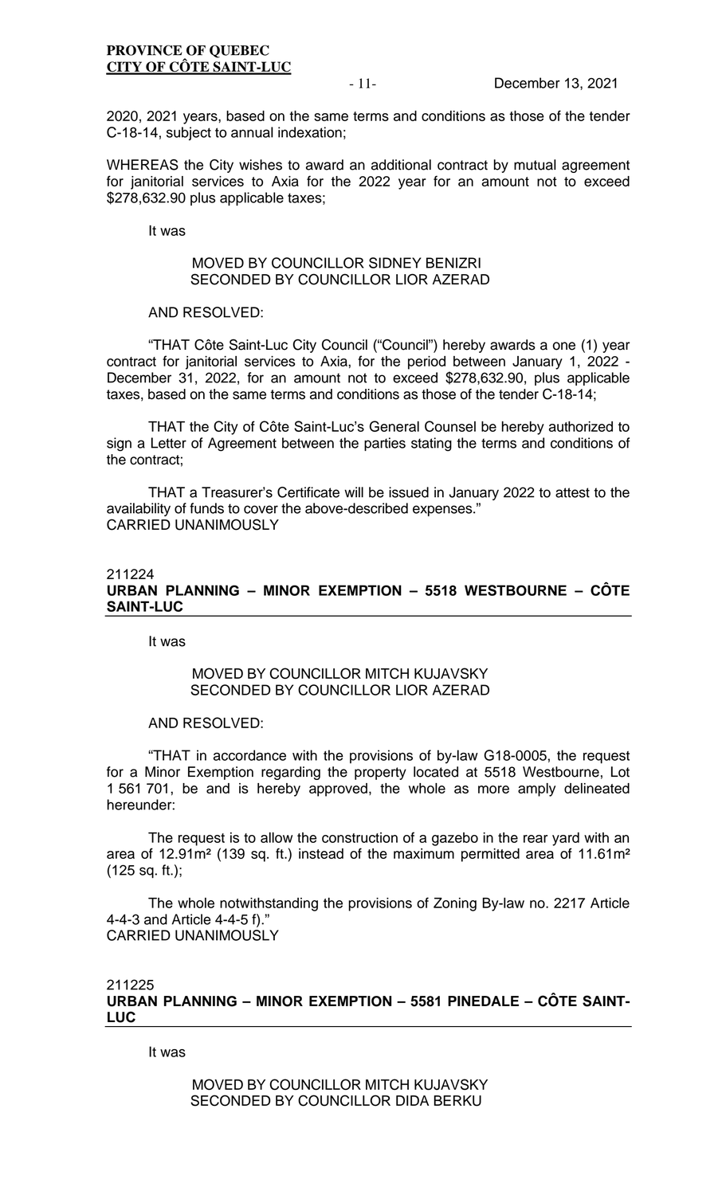2020, 2021 years, based on the same terms and conditions as those of the tender C-18-14, subject to annual indexation;

WHEREAS the City wishes to award an additional contract by mutual agreement for janitorial services to Axia for the 2022 year for an amount not to exceed \$278,632.90 plus applicable taxes;

It was

## MOVED BY COUNCILLOR SIDNEY BENIZRI SECONDED BY COUNCILLOR LIOR AZERAD

AND RESOLVED:

"THAT Côte Saint-Luc City Council ("Council") hereby awards a one (1) year contract for janitorial services to Axia, for the period between January 1, 2022 - December 31, 2022, for an amount not to exceed \$278,632.90, plus applicable taxes, based on the same terms and conditions as those of the tender C-18-14;

THAT the City of Côte Saint-Luc's General Counsel be hereby authorized to sign a Letter of Agreement between the parties stating the terms and conditions of the contract;

THAT a Treasurer's Certificate will be issued in January 2022 to attest to the availability of funds to cover the above-described expenses." CARRIED UNANIMOUSLY

# 211224 **URBAN PLANNING – MINOR EXEMPTION – 5518 WESTBOURNE – CÔTE SAINT-LUC**

It was

# MOVED BY COUNCILLOR MITCH KUJAVSKY SECONDED BY COUNCILLOR LIOR AZERAD

AND RESOLVED:

"THAT in accordance with the provisions of by-law G18-0005, the request for a Minor Exemption regarding the property located at 5518 Westbourne, Lot 1 561 701, be and is hereby approved, the whole as more amply delineated hereunder:

The request is to allow the construction of a gazebo in the rear yard with an area of 12.91m² (139 sq. ft.) instead of the maximum permitted area of 11.61m² (125 sq. ft.);

The whole notwithstanding the provisions of Zoning By-law no. 2217 Article 4-4-3 and Article 4-4-5 f)." CARRIED UNANIMOUSLY

# 211225 **URBAN PLANNING – MINOR EXEMPTION – 5581 PINEDALE – CÔTE SAINT-LUC**

It was

MOVED BY COUNCILLOR MITCH KUJAVSKY SECONDED BY COUNCILLOR DIDA BERKU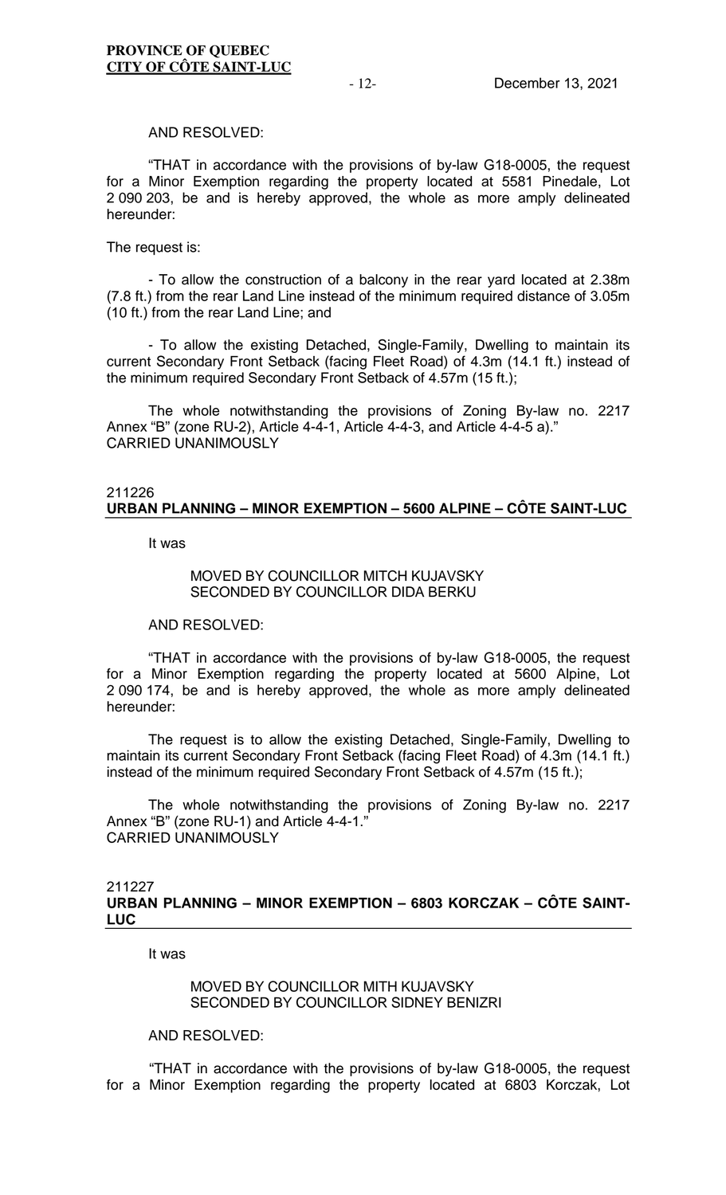#### AND RESOLVED:

"THAT in accordance with the provisions of by-law G18-0005, the request for a Minor Exemption regarding the property located at 5581 Pinedale, Lot 2 090 203, be and is hereby approved, the whole as more amply delineated hereunder:

#### The request is:

- To allow the construction of a balcony in the rear yard located at 2.38m (7.8 ft.) from the rear Land Line instead of the minimum required distance of 3.05m (10 ft.) from the rear Land Line; and

- To allow the existing Detached, Single-Family, Dwelling to maintain its current Secondary Front Setback (facing Fleet Road) of 4.3m (14.1 ft.) instead of the minimum required Secondary Front Setback of 4.57m (15 ft.);

The whole notwithstanding the provisions of Zoning By-law no. 2217 Annex "B" (zone RU-2), Article 4-4-1, Article 4-4-3, and Article 4-4-5 a)." CARRIED UNANIMOUSLY

#### 211226 **URBAN PLANNING – MINOR EXEMPTION – 5600 ALPINE – CÔTE SAINT-LUC**

It was

### MOVED BY COUNCILLOR MITCH KUJAVSKY SECONDED BY COUNCILLOR DIDA BERKU

#### AND RESOLVED:

"THAT in accordance with the provisions of by-law G18-0005, the request for a Minor Exemption regarding the property located at 5600 Alpine, Lot 2 090 174, be and is hereby approved, the whole as more amply delineated hereunder:

The request is to allow the existing Detached, Single-Family, Dwelling to maintain its current Secondary Front Setback (facing Fleet Road) of 4.3m (14.1 ft.) instead of the minimum required Secondary Front Setback of 4.57m (15 ft.);

The whole notwithstanding the provisions of Zoning By-law no. 2217 Annex "B" (zone RU-1) and Article 4-4-1." CARRIED UNANIMOUSLY

## 211227 **URBAN PLANNING – MINOR EXEMPTION – 6803 KORCZAK – CÔTE SAINT-LUC**

It was

MOVED BY COUNCILLOR MITH KUJAVSKY SECONDED BY COUNCILLOR SIDNEY BENIZRI

# AND RESOLVED:

"THAT in accordance with the provisions of by-law G18-0005, the request for a Minor Exemption regarding the property located at 6803 Korczak, Lot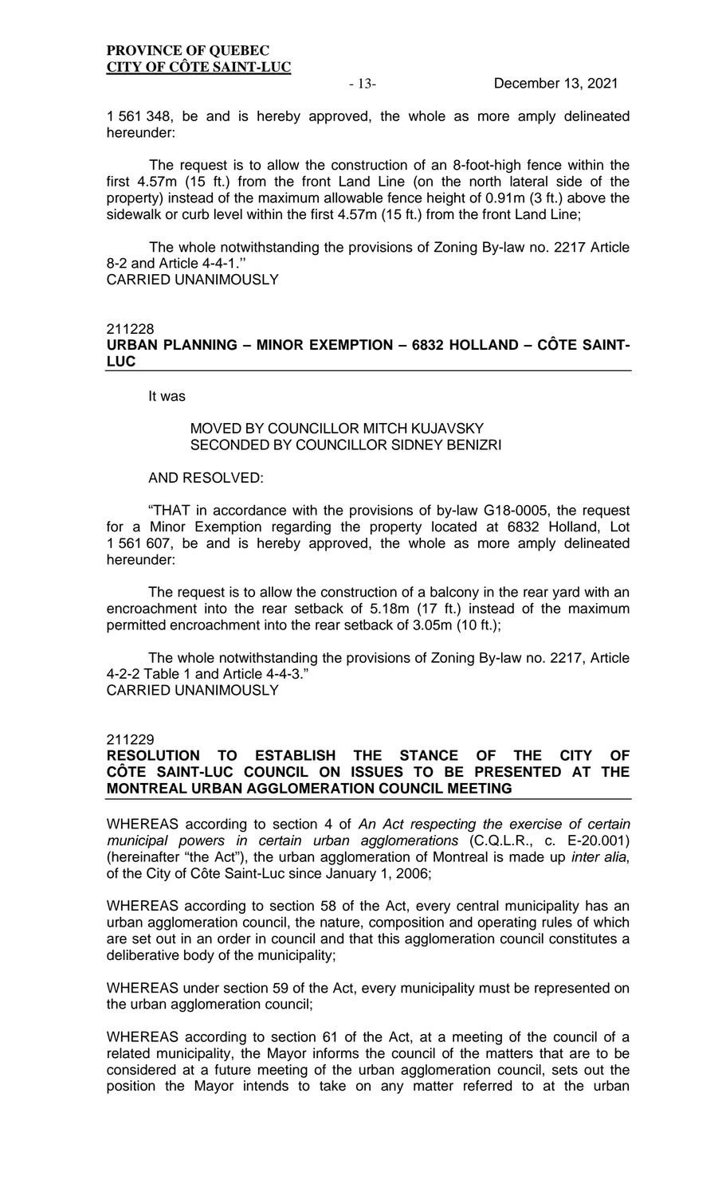1 561 348, be and is hereby approved, the whole as more amply delineated hereunder:

The request is to allow the construction of an 8-foot-high fence within the first 4.57m (15 ft.) from the front Land Line (on the north lateral side of the property) instead of the maximum allowable fence height of 0.91m (3 ft.) above the sidewalk or curb level within the first 4.57m (15 ft.) from the front Land Line;

The whole notwithstanding the provisions of Zoning By-law no. 2217 Article 8-2 and Article 4-4-1.'' CARRIED UNANIMOUSLY

# 211228 **URBAN PLANNING – MINOR EXEMPTION – 6832 HOLLAND – CÔTE SAINT-LUC**

It was

# MOVED BY COUNCILLOR MITCH KUJAVSKY SECONDED BY COUNCILLOR SIDNEY BENIZRI

AND RESOLVED:

"THAT in accordance with the provisions of by-law G18-0005, the request for a Minor Exemption regarding the property located at 6832 Holland, Lot 1 561 607, be and is hereby approved, the whole as more amply delineated hereunder:

The request is to allow the construction of a balcony in the rear yard with an encroachment into the rear setback of 5.18m (17 ft.) instead of the maximum permitted encroachment into the rear setback of 3.05m (10 ft.);

The whole notwithstanding the provisions of Zoning By-law no. 2217, Article 4-2-2 Table 1 and Article 4-4-3." CARRIED UNANIMOUSLY

211229

# **RESOLUTION TO ESTABLISH THE STANCE OF THE CITY OF CÔTE SAINT-LUC COUNCIL ON ISSUES TO BE PRESENTED AT THE MONTREAL URBAN AGGLOMERATION COUNCIL MEETING**

WHEREAS according to section 4 of *An Act respecting the exercise of certain municipal powers in certain urban agglomerations* (C.Q.L.R., c. E-20.001) (hereinafter "the Act"), the urban agglomeration of Montreal is made up *inter alia*, of the City of Côte Saint-Luc since January 1, 2006;

WHEREAS according to section 58 of the Act, every central municipality has an urban agglomeration council, the nature, composition and operating rules of which are set out in an order in council and that this agglomeration council constitutes a deliberative body of the municipality;

WHEREAS under section 59 of the Act, every municipality must be represented on the urban agglomeration council;

WHEREAS according to section 61 of the Act, at a meeting of the council of a related municipality, the Mayor informs the council of the matters that are to be considered at a future meeting of the urban agglomeration council, sets out the position the Mayor intends to take on any matter referred to at the urban